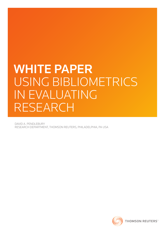# WHITE PAPER Using Bibliometrics in Evaluating **RESEARCH**

David A. Pendlebury Research Department, Thomson Reuters, Philadelphia, PA USA

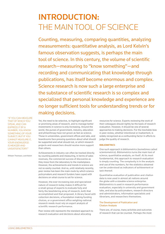# Introduction: THE MAIN TOOL OF SCIENCE

Counting, measuring, comparing quantities, analyzing measurements: quantitative analysis, as Lord Kelvin's famous observation suggests, is perhaps the main tool of science. In this century, the volume of scientific research—measuring to "know something"—and recording and communicating that knowledge through publications, has itself become enormous and complex. Science research is now such a large enterprise and the substance of scientific research is so complex and specialized that personal knowledge and experience are no longer sufficient tools for understanding trends or for making decisions.

"If you can measure that of which you speak, and can express it by a number, you know something of your subject; but if you cannot measure it, your knowledge is meager and unsatisfactory."

William Thomson, Lord Kelvin

Yet, the need to be selective, to highlight significant or promising areas of research, and to manage better investments in science is only increasing. Around the world, the purses of government, industry, education and philanthropy have not grown as fast as science. Those in universities, government offices and labs, and boardrooms face pressing questions about what should be supported and what should not, or which research projects and researchers should receive more support than others.

Achievements in industry can often be tracked directly by counting patents and measuring, in terms of sales revenues, the commercial success of discoveries as they move from the laboratory to the marketplace. However, the achievements and trends in science are not so easily counted. And so, until relatively recently, peer review has been the main route by which science policymakers and research funders have coped with decisions on what course to set for science.

However, the ever-increasing size and specialized nature of research today makes it difficult for a small group of experts to evaluate fully and fairly the bewildering array of research, both that accomplished and that proposed. A library faced with collection decisions, a foundation making funding choices, or a government office weighing national research needs must rely on expert analysis of scientific research performance.

Peer review still represents the standard approach to research evaluation and decisions about allocating

resources for science. Experts reviewing the work of their colleagues should rightly be the basis of research evaluation. However, it should be one of several approaches to making decisions. For the inevitable bias in peer review, whether intentional or inadvertent, is widely recognized as a confounding factor in efforts to judge the quality of research.

# **BIBLIOMETRICS**

One such approach is bibliometrics (sometimes called scientometrics). Bibliometrics turns the main tool of science, quantitative analysis, on itself. At its most fundamental, this approach to research evaluation is simply counting. The complexity is in the analysis and use of the numbers, for the statistics obtained can be understood as indicators of achievement or lack thereof.

Quantitative evaluation of publication and citation data is now used in almost all nations around the globe with a sizeable science enterprise. Bibliometrics is used in research performance evaluation, especially in university and government labs, and also by policymakers, research directors and administrators, information specialists and librarians, and researchers themselves.

# The Development of Publication and Citation Analysis

There are, of course, many activities and outcomes of research that can be counted. Perhaps the most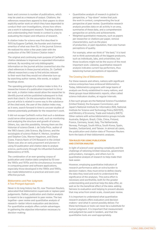USING BIBLIOMETRICS

basic and common is number of publications, which may be used as a measure of output. Citations, the references researchers append to their papers to show explicitly earlier work on which they have depended to conduct their own investigations, shows how others use a work in subsequent research. Tracking citations and understanding their trends in context is a key to evaluating the impact and influence of research.

A citation index for science was first described in 1955 by Eugene Garfield, the founder and chairman emeritus of what was then ISI, in the journal *Science*. He realized his vision a few years later with the production of the 1961 *Science Citation Index®*.

The original and continuing main purpose of Garfield's citation database is improved or expanded information retrieval. By recording not only bibliographic information on the journal articles covered but also the cited references in these journal articles, Dr. Garfield offered researchers a way to find articles relevant to their work that they would not otherwise turn up by searching author names, title words, or subject headings alone.

The operating principle of a citation index is this: If a researcher knows of a publication important to his or her work, a citation index would allow the researcher to identify journal articles published subsequent to that work that cited it. On the assumption that the citing journal article is related in some way to the substance of the cited work, the user of the citation index may, as it were, search forward in time to uncover studies of interest potentially profitable for the researcher's work.

It did not escape Garfield's notice that such a database could serve other purposes as well, such as monitoring and analyzing the structure and growth of science. Others, too, saw this possibility. Among them are the historian of science Derek J. de Solla Price, author of the 1963 classic *Little Science, Big Science*, and the sociologists of science Robert K. Merton, Jonathan and Stephen Cole, Warren Hagstrom, and Diana Crane. Francis Narin of CHI Research in the United States was also an early proponent and pioneer in using ISI publication and citation data to analyze science, particularly through his influential *Evaluative Bibliometrics* of 1976.

The combination of an ever-growing corpus of publication and citation data compiled by ISI over the 1960s and 1970s and the simultaneous increase in computing power and software applications, especially those developed in the 1980s and 1990s, has made bibliometrics a practical and even costeffective pursuit.

# Bibliometrics and Peer Judgment: A Two-Pronged Approach

Never in its long history has ISI, now Thomson Reuters, advocated that bibliometrics supercede or replace peer judgements. Rather, publication and citation analysis is meant to be a supplement to peer review. The two together—peer review and quantitative analysis of research—better inform evaluation and decisions. For quantitative analysis offers certain advantages in gathering the objective information necessary to decision-making:

 **. . . . . . . . . . . . . . . . . . . . . . . . . . . . . . . . . . . . . . . . . . . . . . . . . . . . . . . . . . . . . . . . . . . . . . . . . . . . . . . . . . . . . . . . . . . . . . . . . . . . . . . . . . . . . . . . . . . . . . .**

- Quantitative analysis of research is global in perspective, a "top-down" review that puts the work in context, complementing the local perspective of peer review. Quantitative research analysis provides data on all activity in an area, summaries of these data, and a comprehensive perspective on activity and achievements.
- Weighted quantitative measures, such as papers per researcher or citations per paper, remove characteristics, such as the place of production, or past reputation, that color human perceptions of quality.

For example, when we think of "the best," it is hard not to think automatically of the biggest producers, such as individuals, labs, and universities; but those locations might not be the source of the most important work. Likewise, quantitative research analysis indicates current top performers, thus balancing human perceptions of reputation.

# The Growing Use of Bibliometrics

For these reasons and others, nations with significant science enterprises have embraced bibliometrics. Today, bibliometrics programs with large teams of analysts are firmly established in many nations, and these groups issue bibliometric reports, often called science indicators studies, at regular intervals.

A few such groups are the National Science Foundation (United States); the European Commission; and Japan's National Institute for Informatics (NII), National Institute for Science and Technology Policy (NISTEP), and Ministry of Economy, Trade and Industry (METI). Other nations with active bibliometrics groups include Australia, Belgium, Brazil, Chile, China, Finland, France, Germany, Israel, Italy, The Netherlands, Norway, Portugal, South Africa, South Korea, Spain, Sweden, Switzerland, and Taiwan. In almost all cases, the publication and citation data of Thomson Reuters form the basis of their bibliometric analyses.

# Ten Rules for Using Publication and Citation Analysis

In light of science's ever-growing complexity and the challenge of rationing limited resources, government policymakers, managers, and others turn to quantitative analysis of research to help make their task easier.

However, employing quantitative indicators of research performance adds an extra burden to decision-makers: they must strive to define clearly the data they need and work to understand the significance of the analyses. This extra effort is necessary and worthwhile, both for the greater understanding and practical help the data offer, as well as for the beneficial effect of the data: adding fairness to evaluation and helping to prevent abuses that may arise from small-scale, closed peer review.

It is important to understand what quantitative research analysis offers evaluators and decision makers—and what it cannot possibly deliver. For these techniques or tools can never be a substitute for human judgment. It is important that measurement and judgment be used in tandem, and that the quantitative tools are used appropriately.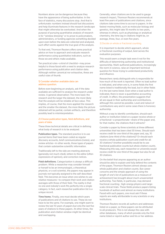Numbers alone can be dangerous because they have the appearance of being authoritative. In the face of statistics, many discussions stop. And that is unfortunate: numbers instead should fuel discussions and help illuminate features in the research landscape that might otherwise be overlooked. And when the purpose of pursuing quantitative analysis of research is for "window dressing" or to prove to policymakers, administrators, or funding agencies something decided upon even before the data are collected and analyzed, such effort works against the true goal of the analysis.

To that end, Thomson Reuters offers some practical advice on how to approach and evaluate research performance using quantitative indicators, such as those we and others make available.

Ten practical rules—a kind of checklist—may prove helpful to those faced with a need to analyze research performance using publication and citation data. Although neither canonical nor exhaustive, these are useful rules of thumb.

#### 1) Consider whether available data can address question.

Before even beginning an analysis, ask if the data available are sufficient to analyze the research under review. A general observation: The more basic the research and the larger the dataset, the more likely that the analysis will be reliable at face value. This implies, of course, that the more applied the research and the smaller the dataset, the more likely the picture obtained will be partial, contain artifacts, and therefore possibly lead to misinterpretation.

#### 2) Choose publication types, field definitions, and years of data.

These three technical details are critical in defining what body of research is to be analyzed.

**Publication types.** The standard practice is to use journal items that have been coded as regular discovery accounts, brief communications (notes), and review articles—in other words, those types of papers that contain substantive scientific information.

Traditionally left to the side are meeting abstracts (generally not much cited), letters to the editor (often expressions of opinion), and correction notices.

**Field definitions.** Categorization is always a difficult problem. While a researcher may consider himself or herself to be an immunologist, a theoretical physicist, or a soil scientist, the papers may appear in journals not typically assigned to the self-described field. This becomes an issue when one wishes to use relative measures—to compare their work and citation averages with those of their field. The reality is that no one and nobody's work fits perfectly into a single category. In fact, each researcher publication list is a unique record.

**Time frame.** Finally, one must decide which years of publications and of citations to use. These do not have to be the same. For example, one might want to review the last 10 years of papers but only the last five years of citations to these papers. At other times, the publication and citation window might be identical and overlapping.

Generally, when citations are to be used to gauge research impact, Thomson Reuters recommends at least five years of publications and citations, since citations take some time to accrue to papers. In the fastest moving fields, such as molecular biology and genetics, this might take 18 months to two years, whereas in others, such as physiology or analytical chemistry, the time lag in citations might be, on average, three, four, or even five years.

#### 3) Decide on whole or fractional counting.

It is important to decide which approach, whole or fractional counting of output, best serves the evaluation purposes.

This would seem a simple task were it not for the difficulty of determining authorship and institutional sponsorship. Multi-authored publications, increasingly the norm in science, raise an important technical question for those trying to understand productivity and influence.

Researchers rarely distinguish who is responsible for how much of the work is reported. Often no lead author is indicated, and when one is, in some fields the first name listed is traditionally the lead, but in other fields it is the last name listed. Even when a lead author is indicated, there is never a quantitative accounting of credit. In effect, the presentation suggests that all are equal in their authorship and contributions, although this cannot be possible. Level and nature of contributions vary and in some cases there is honorary authorship.

Without a way to identify contribution, should each author or institution listed on a paper receive whole or a fractional—a proportionate—share of the paper and, for that matter, the citations that it attracts?

Consider a paper by three scientists at three different universities that has been cited 30 times. Should each receive credit for one-third of the paper and, say, 10 citations (one-third of the citations)? Or should each receive a whole publication count and credit for all 30 citations? Another possibility would be to use fractional publication counts but whole citation counts. Measuring this way, each researcher or university would receive credit for one-third of the paper but also for all 30 citations.

On the belief that anyone appearing as an author should be able to explain and fully defend the contents of the paper, Thomson Reuters almost always uses whole publication and citation counts. But career concerns and the simple approach of using the length of one's list of publications as a measure of achievement has brought about much unwarranted authorship. Two fields, in particular, may demand fractional counting: high-energy physics and largescale clinical trials. These fields produce papers listing hundreds of authors and almost as many institutions. Faced with such papers, one must ask if these reports are really attributable to any scientists or any institutions.

Thomson Reuters records all authors and addresses listed on a paper, so these papers can be attributed to all producers. This is not always the case with other databases, many of which provide only the first name listed or reprint author and his or her address.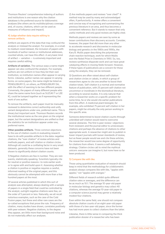Thomson Reuters' comprehensive indexing of authors and institutions is one reason why the citation database is the preferred source for bibliometric analyses (the others are its multidisciplinary coverage and, of course, citations, which can be used as measures of influence and impact).

#### 4) Judge whether data require editing to remove artifacts.

*Artifacts* are aspects of the data that may confound the analysis or mislead the analyst. For example, in a small to medium-sized dataset, the inclusion of papers with hundreds of author names or institutional addresses, counted whole, can have this effect. A very basic kind of artifact — variation — is extremely important and requires careful editing.

**Artifacts of variation.** The various ways a name might appear can also confound the analysis. For example, authors are not uniform in how they list their own institution, so institution names often appear in varying forms. Likewise, author names can appear in varying forms: on some papers, the name might be listed as PENDLEBURY D, on others, as PENDLEBURY DA, with the effect of seeming to be two different people. Conversely, the papers of many different people who share the same name form (such as SUZUKI T or LEE K), could be lumped together as if representing the work of one author.

To remove the artifacts, each paper must be manually reviewed to determine correct authorship and unify variant designations under one, preferred name. This is dreary but important work. Thomson Reuters records the institutional name as the one given on the original paper, but the variant designations are unified so that the statistics for an institution appear under one, preferred name.

**Other possible artifacts.** Three common objections to the use of citation counts in evaluating research have to do with possible artifacts in the data: negative citations, the "over citation" of review articles and methods papers, and self-citation or citation circles. Although all could be a conflating factor in very small datasets, generally these concerns have not been shown to significantly distort citation counts.

1) Negative citations are few in number. They are rare events, statistically speaking. Scientists typically cite for neutral or positive reasons—to note earlier work or to agree with and build upon it. Assessing whether a citation is positive or negative requires a careful, informed reading of the original paper, and this obviously cannot be attempted with more than a few hundred papers at the most.

Of several articles published in which this sort of analysis was attempted, always dealing with a sample of papers in a single field that could be controlled by the analyst, outright negative citations were few, on the order of 5 percent or less. Naturally, we all recall notorious examples, such as the case of the Cold Fusion paper, but these and other rare cases are the so-called exceptions that prove the rule. Frequency of citation, many studies have shown, correlates positively with peer esteem. Negative citations, to the degree they appear, are little more than background noise and do not materially affect our analyses.

2) Are methods papers and reviews "over cited?" A method may be used by many and acknowledged often, if perfunctorily. A review offers a convenient and concise way of recognizing and summarizing the previous literature in an area, and thus becomes a convenient reference. But it stands to reason that only useful methods and only good reviews are highly cited.

Methods papers and reviews are seen by some as lesser contributions than discovery accounts. Consider, however, the paper that did more than any other to accelerate research and discoveries in molecular biology and genetics in the 1980s and 1990s, the Kary B. Mullis paper describing the polymerase chain reaction technique, work for which Mullis won the Nobel Prize in Chemistry in 1993. So, too, reviews synthesize disparate work and can have great catalyzing effects in moving fields forward. However, if these types of publications are a concern for those using the analysis, they can be removed.

3) Questions are often raised about self-citation and citation circles or cabals, in which a group of researchers agree to cite one another to boost their citation totals. Self-citation is a normal and normative feature of publication, with 25 percent self-citation not uncommon or inordinate in the biomedical literature, according to several studies. It is only natural that when a researcher works on a specific problem for some time, he or she would cite earlier publications from this effort. A medicinal plant biologist, for example, who exhibited 75 percent self-citation in her papers, might be virtually the only person working in this specific area.

Someone determined to boost citation counts through unbridled self-citation would need to overcome several obstacles. The first is peer review—objections from reviewers and the journal editor to unnecessary citations and perhaps the absence of citations to other appropriate work. A researcher might aim to publish in lower-impact journals with looser standards of review, but as fewer people would see and cite these articles, the researcher would lose some degree of opportunity for citations from others. It seems a self-defeating strategy. Citation circles call to mind the mythical unicorn: everyone can imagine it, but none have so far been produced.

# 5) Compare like with like.

Those using quantitative evaluation of research should keep in mind that the methodology for a bibliometric analysis always compares like with like, "apples with apples," not "apples with oranges."

Different fields of research exhibit quite different citation rates or averages, and the difference can be as much as 10:1. The average 10-year-old paper in molecular biology and genetics may collect 40 citations, whereas the average 10-year-old paper in a computer science journal may garner a relatively modest four citations.

Even within the same field, one should not compare absolute citation counts of an eight-year-old paper with those of a two-year-old paper, since the former has had more years to collect citations than the latter.

Likewise, there is little sense in comparing the thick publication dossier of a researcher who has been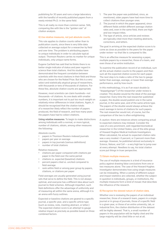publishing for 30 years and runs a large laboratory with the handful of recently published papers from a newly minted Ph.D. in the same field.

This is all really no more than common sense. Still, comparing like with like is the "golden rule" of citation analysis.

#### 6) Use relative measures, not just absolute counts.

This rule applies to citation counts rather than to publication counts, since there is very little data collected on average output for a researcher by field and over time. The problem is attributing papers to unique individuals in order to calculate typical output. Thomson Reuters carries no marker for unique individuals, only unique name forms.

Eugene Garfield has said that he thinks there is no better single indicator of status and peer regard in science than total citations. And his studies have demonstrated the frequent correlation between scientists with the most citations in their field and those who are chosen for the Nobel Prize. But this is a very select and statistically atypical group of researchers, with thousands or tens of thousands of citations. For these few, absolute citation counts are appropriate.

However, most scientists can claim hundreds—not thousands—of citations. As one deals with smaller numbers, it is important not to put too much weight on relatively minor differences in total citations. Again, it should be recognized that the citation totals of a researcher likely reflect the number of papers produced, the field of research, and how many years the papers have had to collect citations.

**Using relative measures**. To begin to make distinctions among individuals with a normal, or more typical, number of citations, obtain, among other measures the following:

Absolute counts:

- papers in Thomson Reuters-indexed journals
- papers per year on average
- papers in top journals (various definitions)
- number of total citations

Relative measures:

- citations per paper compared with citations per paper in the field over the same period
- citations vs. expected (baseline) citations
- percent papers cited vs. uncited compared to field average
- rank within field or among peer group by papers, citations, or citations per paper

Field averages are usually generated using journal sets that serve to define the field. This is not always optimal, and everyone has a different idea about such journal-to-field schemes. Although imperfect, such field definitions offer the advantage of uniformity and of measuring all within the same arena, although it is an arena with fuzzy outlines.

Expected or baseline citations are geared to a specific journal, a specific year, and a specific article type (such as review, note, meeting abstract, or letter.) The expected citation score is an attempt to gauge relative impact as precisely as possible based on three combined factors:

 **. . . . . . . . . . . . . . . . . . . . . . . . . . . . . . . . . . . . . . . . . . . . . . . . . . . . . . . . . . . . . . . . . . . . . . . . . . . . . . . . . . . . . . . . . . . . . . . . . . . . . . . . . . . . . . . . . . . . . . .**

- 1. The year the paper was published, since, as mentioned, older papers have had more time to collect citations than younger ones.
- 2. The journal in which the paper appeared, since different fields exhibit different average citation rates and, even in the same field, there are highand low-impact titles.
- 3. The type of article, since articles and reviews are typically cited more than meeting abstracts, corrections, and letters.

The goal in arriving at the expected citation score is to come as close as possible to the peers for the paper under review—so that like is compared to like.

This is an effective measure for assessing a paper, multiple papers by a researcher, those of a team, and even those of an entire institution.

To examine the publication record of an individual, sum all the actual citation counts to the papers and then sum all the expected citation scores for each paper. The next step is to make a ratio of the two to gauge better than average, average, or lower than average performance, and by how much.

In this methodology, it is as if an exact double (a "doppelganger") of the researcher under review is created. This double would be the ideal of the average researcher. Every time the real researcher published a paper, the double would publish one in the same journal, in the same year, and of the same article type. The papers of the double would always achieve the exact average in terms of citations for such papers. The real researcher would not, of course, but the comparison of the two is often enlightening.

A caution: there are instances where comparing actual to expected citations may mislead. Consider the case of a very prominent, well-regarded biomedical researcher in the United States, one of the elite group of Howard Hughes Medical Institute Investigators. When calculated, his actual-to-expected-citation ratio was a very modest +3 percent, or 3 percent more than average. However, he published almost exclusively in *Science, Nature, and Cell* — a very high bar to jump over at every attempt. Needless to say, his total citation score put things in truer perspective.

#### 7) Obtain multiple measures.

The use of multiple measures is a kind of insurance policy against drawing false conclusions from one or two measures alone. The case of the Howard Hughes Investigator demonstrates how using single measures can be misleading. When a variety of different output and impact statistics are collected, whether the subject in question is individuals, groups, or institutions, the multiple measures form a kind of mosaic that describes the influence of the research.

#### 8) Recognize the skewed nature of citation data.

Whether one is reviewing the papers of an individual researcher, those of a research team, papers in a single journal or in group of journals, those of a specific field in a given year, or those of an entire university, lab, or industrial firm, the citation distribution of the dataset will be highly skewed. That is, a small number of papers in the population will be highly cited and the large majority will be cited little or not at all.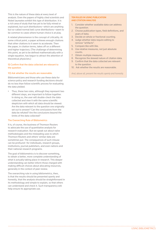This is the nature of these data at every level of analysis. Even the papers of highly cited scientists and Nobel laureates exhibit this type of distribution. It is a rich area of study that has yet to be fully mined or explained, but such distributions—which are anything but so-called normal bell curve distributions—seem to be common to cases where human choice is at play.

A related phenomenon is the concept of criticality. At some critical point, a paper achieves enough citations that other citations to it seem to accelerate. Then the paper, in citation terms, takes off on a different and higher trajectory. (The challenge of determining this point, as yet to be defined mathematically with a single equation, has begun to attract the attention of theoretical physicists.)

# 9) Confirm that the data collected are relevant to the question.

# 10) Ask whether the results are reasonable.

Bibliometricians and those who use these data for science policy and research funding decisions should do no less than follow scientific process for evaluating the data yielded.

Thus, these two rules, although they represent two different steps, are important to follow together. In doing so, the user will double-check the data collected and view it with the same scientific skepticism with which all data should be viewed: Are the data relevant to the question one originally set out to answer? Can the conclusions from the data be refuted? Are the conclusions beyond the limits of the data collected?

# The Overarching Rule of Bibliometrics

It is, of course, the business of Thomson Reuters to advocate the use of quantitative analysis for research evaluation. But we speak out about naïve methodologies and the misleading uses to which Thomson Reuters and others' similar data are sometimes put. The consequences of such misuse can be profound—for individuals, research groups, institutions, journal publishers, and even nations and their national research programs.

The goal of bibliometrics is to discover something, to obtain a better, more complete understanding of what is actually taking place in research. This deeper understanding can better inform those charged with making difficult choices about allocating resources, generally in the context of peer review.

The overarching rule in using bibliometrics, then, is that the results should be presented openly and honestly, that the analysis should be straightforward in its methodology and simple to explain, so that others can understand and check it. Such transparency will help ensure its appropriate use.

# Ten Rules in Using Publication and Citation Analysis

- 1. Consider whether available data can address the question.
- 2. Choose publication types, field definitions, and years of data.
- 3. Decide on whole or fractional counting.
- 4. Judge whether data require editing to remove "artifacts".
- 5. Compare like with like.
- 6. Use relative measures, not just absolute counts.
- 7. Obtain multiple measures.
- 8. Recognize the skewed nature of citation data.
- 9. Confirm that the data collected are relevant to the question.
- 10. Ask whether the results are reasonable.

*And, above all, present the results openly and honestly.*